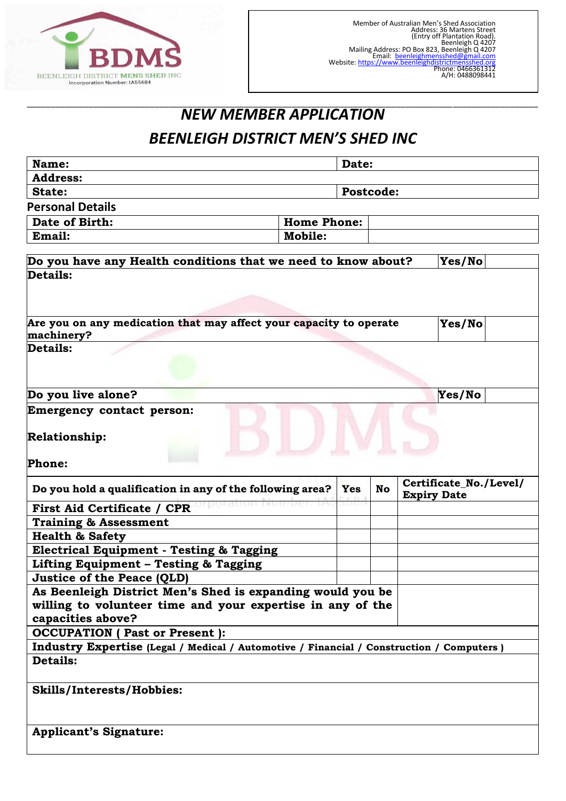

#### \_\_\_\_\_\_\_\_\_\_\_\_\_\_\_\_\_\_\_\_\_\_\_\_\_\_\_\_\_\_\_\_\_\_\_\_\_\_\_\_\_\_\_\_\_\_\_\_\_\_\_\_\_\_\_\_\_\_\_\_\_\_\_\_\_\_\_\_\_\_\_\_\_\_\_\_\_\_\_\_\_\_\_\_\_\_\_\_\_\_\_\_\_\_\_\_\_\_\_\_\_\_\_\_\_\_\_\_ *NEW MEMBER APPLICATION*

## *BEENLEIGH DISTRICT MEN'S SHED INC*

| Name:                                                                                     | Date:      |           |  |                                              |  |  |  |
|-------------------------------------------------------------------------------------------|------------|-----------|--|----------------------------------------------|--|--|--|
| <b>Address:</b>                                                                           |            |           |  |                                              |  |  |  |
| State:                                                                                    | Postcode:  |           |  |                                              |  |  |  |
| <b>Personal Details</b>                                                                   |            |           |  |                                              |  |  |  |
| <b>Home Phone:</b><br>Date of Birth:                                                      |            |           |  |                                              |  |  |  |
| Email:<br><b>Mobile:</b>                                                                  |            |           |  |                                              |  |  |  |
|                                                                                           |            |           |  |                                              |  |  |  |
| Do you have any Health conditions that we need to know about?                             |            |           |  | Yes/No                                       |  |  |  |
| Details:                                                                                  |            |           |  |                                              |  |  |  |
|                                                                                           |            |           |  |                                              |  |  |  |
| Are you on any medication that may affect your capacity to operate<br>machinery?          |            |           |  | Yes/No                                       |  |  |  |
| Details:                                                                                  |            |           |  |                                              |  |  |  |
|                                                                                           |            |           |  |                                              |  |  |  |
| Do you live alone?                                                                        |            |           |  | Yes/No                                       |  |  |  |
| <b>Emergency contact person:</b>                                                          |            |           |  |                                              |  |  |  |
|                                                                                           |            |           |  |                                              |  |  |  |
| <b>Relationship:</b>                                                                      |            |           |  |                                              |  |  |  |
|                                                                                           |            |           |  |                                              |  |  |  |
| Phone:                                                                                    |            |           |  |                                              |  |  |  |
| Do you hold a qualification in any of the following area?                                 | <b>Yes</b> | <b>No</b> |  | Certificate_No./Level/<br><b>Expiry Date</b> |  |  |  |
| <b>First Aid Certificate / CPR</b>                                                        |            |           |  |                                              |  |  |  |
| <b>Training &amp; Assessment</b>                                                          |            |           |  |                                              |  |  |  |
| <b>Health &amp; Safety</b>                                                                |            |           |  |                                              |  |  |  |
| <b>Electrical Equipment - Testing &amp; Tagging</b>                                       |            |           |  |                                              |  |  |  |
| Lifting Equipment - Testing & Tagging                                                     |            |           |  |                                              |  |  |  |
| <b>Justice of the Peace (QLD)</b>                                                         |            |           |  |                                              |  |  |  |
| As Beenleigh District Men's Shed is expanding would you be                                |            |           |  |                                              |  |  |  |
| willing to volunteer time and your expertise in any of the                                |            |           |  |                                              |  |  |  |
| capacities above?                                                                         |            |           |  |                                              |  |  |  |
| <b>OCCUPATION</b> ( Past or Present ):                                                    |            |           |  |                                              |  |  |  |
| Industry Expertise (Legal / Medical / Automotive / Financial / Construction / Computers ) |            |           |  |                                              |  |  |  |
| Details:                                                                                  |            |           |  |                                              |  |  |  |
|                                                                                           |            |           |  |                                              |  |  |  |
| <b>Skills/Interests/Hobbies:</b>                                                          |            |           |  |                                              |  |  |  |
|                                                                                           |            |           |  |                                              |  |  |  |
|                                                                                           |            |           |  |                                              |  |  |  |
|                                                                                           |            |           |  |                                              |  |  |  |
| <b>Applicant's Signature:</b>                                                             |            |           |  |                                              |  |  |  |